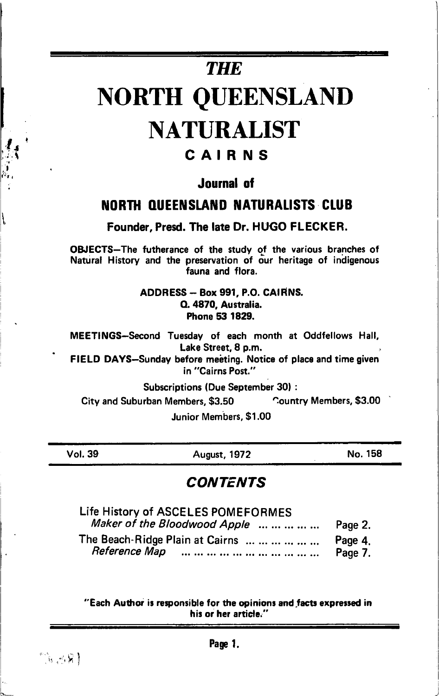## **THE**

# **NORTH QUEENSLAND**

## **NATURALIST**

## CAIRNS

### Journal of

## NORTH QUEENSLAND NATURALISTS CLUB

Founder, Presd. The late Dr. HUGO FLECKER.

OBJECTS-The futherance of the study of the various branches of Natural History and the preservation of our heritage of indigenous fauna and flora.

> ADDRESS - Box 991, P.O. CAIRNS. Q. 4870. Australia. Phone 53 1829.

MEETINGS-Second Tuesday of each month at Oddfellows Hall, Lake Street, 8 p.m.

FIELD DAYS-Sunday before meeting. Notice of place and time given in "Cairns Post."

**Subscriptions (Due September 30):** 

City and Suburban Members, \$3.50 Country Members, \$3.00

Junior Members, \$1.00

**Vol. 39** 

**August, 1972** 

No. 158

## **CONTENTS**

Life History of ASCELES POMEFORMES Maker of the Bloodwood Apple ... ... ... ... ... Page 2. The Beach-Ridge Plain at Cairns ... ... ... ... ... ... Page 4. Reference Map Page 7.

"Each Author is responsible for the opinions and facts expressed in his or her article.'

 $\mathbb{R} \times \mathbb{R}$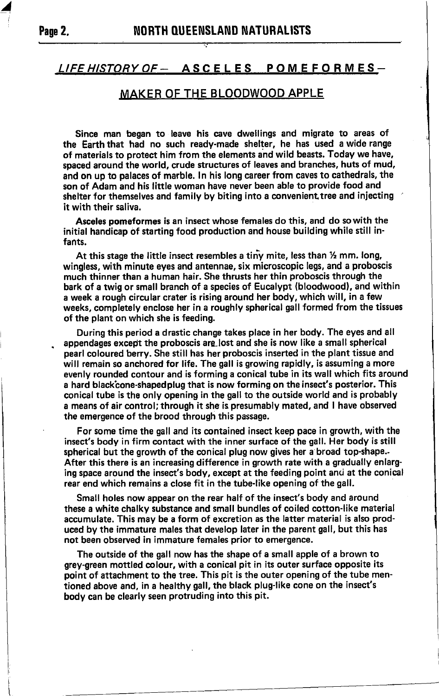/

#### LIFEHISTORY OF - ASCELES POMEFORMES-

#### MAKER OF THE BLOODWOOD APPLE

Since man began to leave his cave dwellings and migrate to areas of the Earth that had no such ready.made shelter, he has used a wide range of materials to protect him from the elements and wild beasts. Today we have, spaced around the world, crude structures of leaves and branches, huts of mud, and on up to palaces of marble. In his long career from caves to cathedrals, the son of Adam and his little woman have never been able to provide food and shelter for themselves and family by biting into a convenient tree and injecting it with their saliva.

Asceles pomeformes is an insect whose females do this, and do sowith the initial handicap of starting food production and house building while still infants.

At this stage the little insect resembles a tiny mite, less than  $\frac{1}{2}$  mm. long, wingles, with minute eyes and antennae, six microscopic legs, and a proboscis much thinner than a human hair. She thrusts her thin proboscis through the bark of a twig or small branch of a species of Eucalypt (bloodwood), and within a week a rough circular crater is rising around her body, which will, in a few weeks, completely enclose her in a roughly spherical gall formed from the tissues of the plant on which she is feeding.

During this period a drastic change takes place in her body. The eyes and all appendages except the proboscis are-lost and she is now like a small spherical pearl coloured beny. She still has her proboscis inserted in the plant tisue and will remain so anchored for life. The gall is growing rapidly, is assuming a more evenly rounded contour and is forming a conical tube in its wall which fits around a hard blackcone-shapedplug that is now forming on the insect's posterior. This conical tube is the only opening in the gall to the outside world and is probably a means of air control; through it she is presumably mated, and I have observed the emergence of the brood through this passage.

For some time the gall and its contained insect keep pace in growth, with the insect's body in firm contact with the inner surface of the gall. Her body is still spherical but the growth of the conical plug now gives her a broad top-shape.- After this there is an increasing difference in growth rate with a gradually enlarging space around the insect's body, except at the feeding point and at the conical rear end which remains a close fit in the tube-like opening of the gall.

Small holes now appear on the rear half of the insect's body and around these a white chalky substance and small bundles of coiled cotton-like material accumulate. This may be a form of excretion as the latter material is also produced by the immature males that develop later in the parent gall, but this has not been observed in immature females prior to emergence.

The outside of the gall now has the shape of a small apple of a brown to grey-green mottled colour, with a conical pit in its outer surface opposite its point of attachment to the tree. This pit is the outer opening of the tube men' tioned above and, in a healthy gall, the black plug'like cone on the insect's body can be clearly seen protruding into this pit.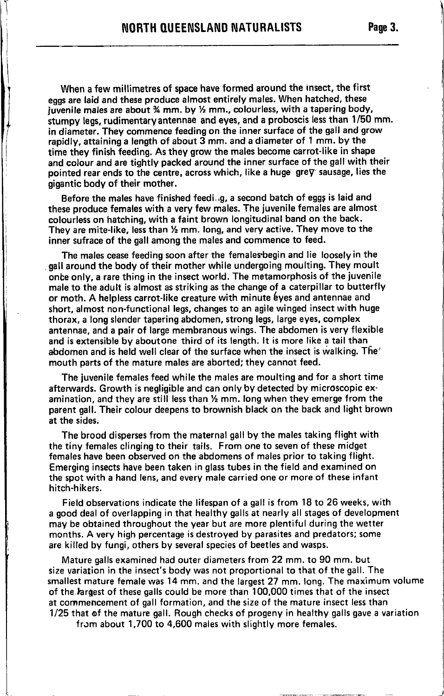When a few millimetres of space have formed around the insect, the first eggs are laid and these produce almost entirely males. When hatched, these juvenile males are about  $\frac{3}{4}$  mm. by  $\frac{1}{2}$  mm., colourless, with a tapering body, stumpy legs, rudimentaryantennae and eyes, and a proboscis less than 1/50 mm. in diameter. They commence feeding on the inner surface of the gall and grow rapidly, attaining a length of about 3 mm. and a diameter of 1 mm. by the time they finish feeding. As they grow the males become carrot-like in shape and colour and are tightly packed around the inner surface of the gall with their pointed rear ends to the centre, across which, like a huge grey sausage, lies the gigantic body of their mother.

Before the males have finished feedi.,g, a second batch of eggg is laid and these produce females with a very few males. The juvenile females are almost colourless on hatching, with a faint brown longitudinal band on the back. They are mite-like, less than 1/2 mm. long, and very active. They move to the inner sufrace of the gall among the males and commence to feed.

The males cease feeding soon after the females begin and lie loosely in the gall around the body of their mother while undergoing moulting. They moult onbe only, a rare thing in the insect world. The metamorphosis of the juvenile male to the adult is almost as striking as the change of a caterpillar to butterfly or moth. A helpless carrot-like creature with minute 6yes and antennae and short, almost non-functional legs, changes to an agile winged insect with huge thorax, a long slender tapering abdomen, strong legs, large eyes, complex antennae, and a pair of large membranous wings. The abdomen is very flexible and is extensible by aboutone third of its length. lt is more like a tail than abdomen and is held well clear of the surface when the insect is walking. The' mouth parts of the mature males are aborted; they cannot feed.

The juvenile females feed while the males are moulting and for a short time afterwards. Growth is negligible and can only by detected by microscopic examination, and they are still less than  $\frac{1}{2}$  mm. long when they emerge from the parent gall. Their colour deepens to brownish black on the back and light brown at the sides.

The brood disperses from the maternal gall by the males taking flight with the tiny females clinging to their tails. From one to seven of these midget females have been observed on the abdomens of males prior to taking flight. Emerging insects have been taken in glass tubes in the field and examined on the spot with a hand lens, and every male carried one or more of these infant hitch-hikers.

Field observations indicate the lifespan of a gall is from 18 to 26 weeks, with a good deal of overlapping in that healthy galls at nearly all stages of development may be obtained throughout the year but are more plentiful during the wetter months. A very high percentage is destroyed by parasites and predators; some are killed by fungi, others by several species of beetles and wasps.

Mature galls examined had outer diameters from 22 mm. to 90 mm. but size variation in the insect's body was not proportional to that of the gall. The smallest mature female was 14 mm. and the largest 27 mm. long. The maximum volume of the larqest of these galls could be more than 100.000 times that of the insect at cornmencement of gall formation, and the size of the mature insect less than 1/25 that of the mature gall. Rough checks of progeny in healthy galls gave a variation

from about 1,700 to 4,600 males with slightly more females.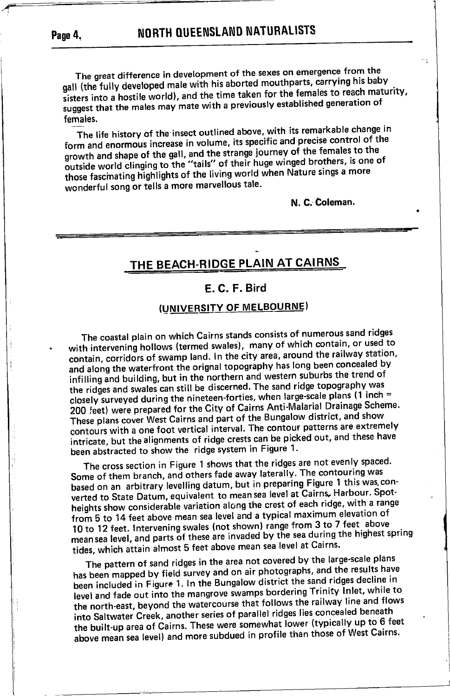## **NORTH QUEENSLAND NATURALISTS**

The great difference in development of the sexes on emergence from the gall (the fully developed male with his aborted mouthparts, carrying his baby sisters into a hostile world), and the time taken for the females to reach maturity, suggest that the males may mate with a previously established generation of females.

The life history of the insect outlined above, with its remarkable change in form and enormous increase in volume, its specific and precise control of the growth and shape of the gall, and the strange journey of the females to the outside world clinging to the "tails" of their huge winged brothers, is one of those fascinating highlights of the living world when Nature sings a more wonderful song or tells a more marvellous tale.

#### N. C. Coleman.

t.

## THE BEACH-RIDGE PLAIN AT CAIRNS

#### E. C. F. Bird

#### (UNIVERSITY OF MELBOURNE)

The coastal plain on which Cairns stands consists of numerous sand ridges with intervening hollows (termed swales), many of which contain, or used to contain, corridors of swamp land. In the city area, around the railway station, and along the waterfront the orignal topography has long been concealed by infilling and building, but in the northern and western suburbs the trend of the ridges and swales can still be discerned. The sand ridge topography was closely surveyed during the nineteen-forties, when large-scale plans (1 inch = 200 feet) were prepared for the City of Cairns Anti-Malarial Drainage Scheme. These plans cover West Cairns and part of the Bungalow district, and show contours with a one foot vertical interval. The contour patterns are extremely intricate, but the alignments of ridge crests can be picked out, and these have been abstracted to show the ridge system in Figure 1.

The cross section in Figure 1 shows that the ridges are not evenly spaced. Some of them branch, and others fade away laterally. The contouring was based on an arbitrary levelling datum, but in preparing Figure 1 this was converted to State Datum, equivalent to mean sea level at Cairns. Harbour. Spotheights show considerable variation along the crest of each ridge, with a range from 5 to 14 feet above mean sea level and a typical maximum elevation of 10 to 12 feet. Intervening swales (not shown) range from 3 to 7 feet above mean sea level, and parts of these are invaded by the sea during the highest spring tides, which attain almost 5 feet above mean sea level at Cairns.

The pattern of sand ridges in the area not covered by the large-scale plans has been mapped by field survey and on air photographs, and the results have been included in Figure 1. In the Bungalow district the sand ridges decline in level and fade out into the mangrove swamps bordering Trinity Inlet, while to the north-east, beyond the watercourse that follows the railway line and flows into Saltwater Creek, another series of parallel ridges lies concealed beneath the built-up area of Cairns. These were somewhat lower (typically up to 6 feet above mean sea level) and more subdued in profile than those of West Cairns.

Page 4.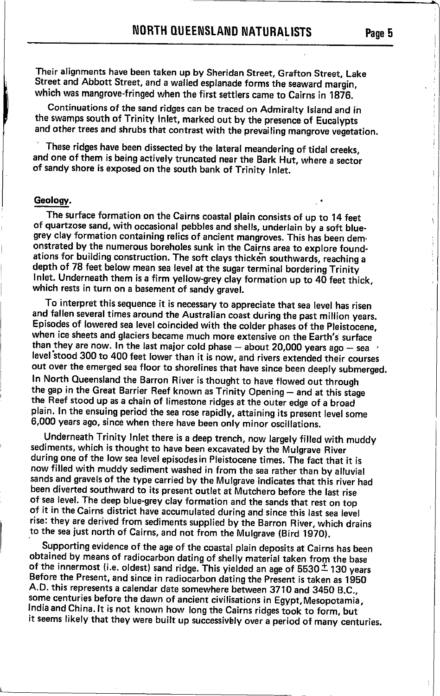Their alignments have been taken up by Sheridan Street, Grafton Street, Lake Street and Abbott Street, and a walled esplanade forms the seaward margin, which was mangrove-fringed when the first settlers came to Cairns in 1876.

continuations of the sand ridges can be traced on Admiralty lsland and ih the swamps south of Trinity Inlet, marked out by the presence of Eucalypts and other trees and shrubs that contrast with the prevailing mangrove vegetation.

These ridges have been dissected by the lateral meandering of tidal creeks, and one of them is being actively truncated near the Bark Hut, where a sector of sandy shore is exposed on the south bank of Trinity Inlet.

#### Geology.

The surface formation on the cairns coastal plain consists of up to 14 feet of quartzose sand, with occasional pebbles and shells, underlain by a soft bluegrey clay formation containing relics of ancient mangroves. This has been dem. onstrated by the numerous boreholes sunk in the cairns area to explore foundations for building construction. The soft clays thicken southwards, reaching a depth of 78 feet below mean sea level at the sugar terminal bordering Trinity Inlet. Underneath them is a firm yellow-grey clay formation up to 40 feet thick, which rests in turn on a basement of sandy gravel.

To interpret this sequence it is necessary to appreciate that sea level has risen and fallen several times around the Australian coast during the past million years. Episodes of lowered sea level coincided with the colder phases of the Pleistocene, when ice sheets and glaciers became much more extensive on the Earth's surface than-they are now. In the last major cold phase  $-$  about 20,000 years ago  $-$  sea  $\rightarrow$ level'stood 300 to 400 feet lower than it is now, and rivers extended their courses out over the emerged sea floor to shorelines that have since been deeply submerged. In North Queensland the Barron River is thought to have flowed out through<br>the gap in the Great Barrier Reef known as Trinity Opening - and at this stage the Reef stood up as a chain of limestone ridges at the outer edge of a broad plain. In the ensuing period the sea rose rapidly, attaining its present level some 6,000 years ago, since when there have been only minor osciliations.

Underneath Trinity Inlet there is a deep trench, now largely filled with muddy sediments, which is thought to have been excavated by the Mulgrave River during one of the low sea level episodes in Pleistocene times. The fact that it is now filled with muddy sediment washed in from the sea rather than by alluvial sands and gravels of the type carried by the Mulgrave indicates that this river had<br>been diverted southward to its present outlet at Mutchero before the last rise of sea level. The deep blue-grey clay formation and the sands that rest on top<br>of it in the Cairns district have accumulated during and since this last sea level rise: they are derived from sediments supplied by the Barron River, which drains to the sea just north of Cairns, and not from the Mulgrave (Bird 1970).

obtained by means of radiocarbon dating of shelly material taken from the base Supporting evidence of the age of the coastal plain deposits at Cairns has been of the innermost (i.e. oldest) sand ridge. This yielded an age of  $5530<sup>+</sup>$  130 years Before the Present, and since in radiocarbon dating the Present is taken as 1950 A.D. this represents a calendar date somewhere between 3710 and 34s0 8.c., some centuries before the dawn of ancient civilisations in Egypt,Mesopotamia, - India and China. It is not known how long the Cairns ridges took to form, but it seems likely that they were built up successively over a period of many centuries.  $\bar{V}$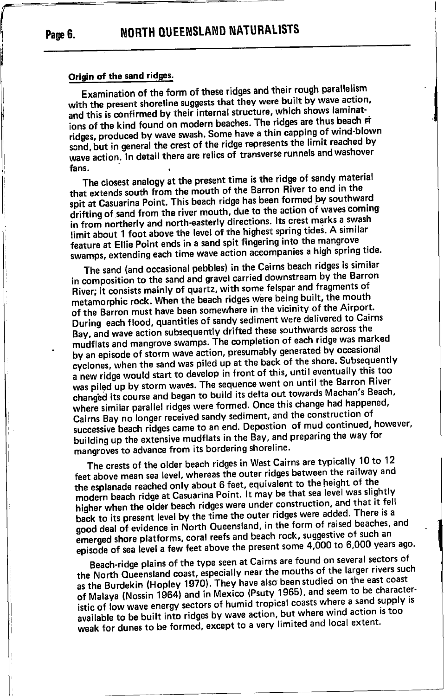#### Origin of the sand ridges.

Examination of the form of these ridges and their rough parallelism with the present shoreline suggests that they were built by wave action. and this is confirmed by their internal structure, which shows laminatjons of the kind found on modern beaches. The ridges are thus beach ri ridges, produced by wave swash. Some have a thin capping of wind-blown sand, but in general the crest of the ridge represents the limit reached by wave action. In detail there are relics of transverse runnels and washover fans.

The closest analogy at the present time is the ridge of sandy material that extends south from the mouth of the Barron River to end in the spit at Casuarina Point. This beach ridge has been formed by southward drifting of sand from the river mouth, due to the action of waves coming in from northerly and north-easterly directions. Its crest marks a swash limit about 1 foot above the level of the highest spring tides. A similar feature at Ellie Point ends in a sand spit fingering into the mangrove swamps, extending each time wave action accompanies a high spring tide.

The sand (and occasional pebbles) in the Cairns beach ridges is similar in composition to the sand and gravel carried downstream by the Barron River; it consists mainly of quartz, with some felspar and fragments of metamorphic rock. When the beach ridges were being built, the mouth of the Barron must have been somewhere in the vicinity of the Airport. During each flood, quantities of sandy sediment were delivered to Cairns Bay, and wave action subsequently drifted these southwards across the mudflats and mangrove swamps. The completion of each ridge was marked by an episode of storm wave action, presumably generated by occasional cyclones, when the sand was piled up at the back of the shore. Subsequently a new ridge would start to develop in front of this, until eventually this too was piled up by storm waves. The sequence went on until the Barron River changed its course and began to build its delta out towards Machan's Beach, where similar parallel ridges were formed. Once this change had happened, Cairns Bay no longer received sandy sediment, and the construction of successive beach ridges came to an end. Depostion of mud continued, however, building up the extensive mudflats in the Bay, and preparing the way for mangroves to advance from its bordering shoreline.

The crests of the older beach ridges in West Cairns are typically 10 to 12 feet above mean sea level, whereas the outer ridges between the railway and the esplanade reached only about 6 feet, equivalent to the height of the modern beach ridge at Casuarina Point. It may be that sea level was slightly higher when the older beach ridges were under construction, and that it fell back to its present level by the time the outer ridges were added. There is a good deal of evidence in North Queensland, in the form of raised beaches, and emerged shore platforms, coral reefs and beach rock, suggestive of such an episode of sea level a few feet above the present some 4,000 to 6,000 years ago.

Beach-ridge plains of the type seen at Cairns are found on several sectors of the North Queensland coast, especially near the mouths of the larger rivers such as the Burdekin (Hopley 1970). They have also been studied on the east coast of Malaya (Nossin 1964) and in Mexico (Psuty 1965), and seem to be characteristic of low wave energy sectors of humid tropical coasts where a sand supply is available to be built into ridges by wave action, but where wind action is too weak for dunes to be formed, except to a very limited and local extent.

Page 6.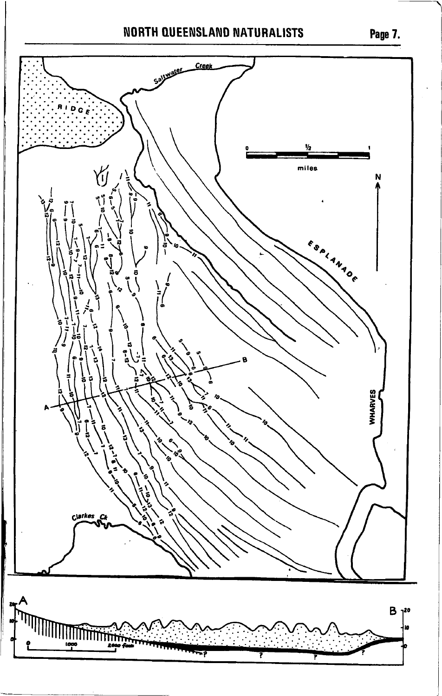## **NORTH QUEENSLAND NATURALISTS**



Page 7.